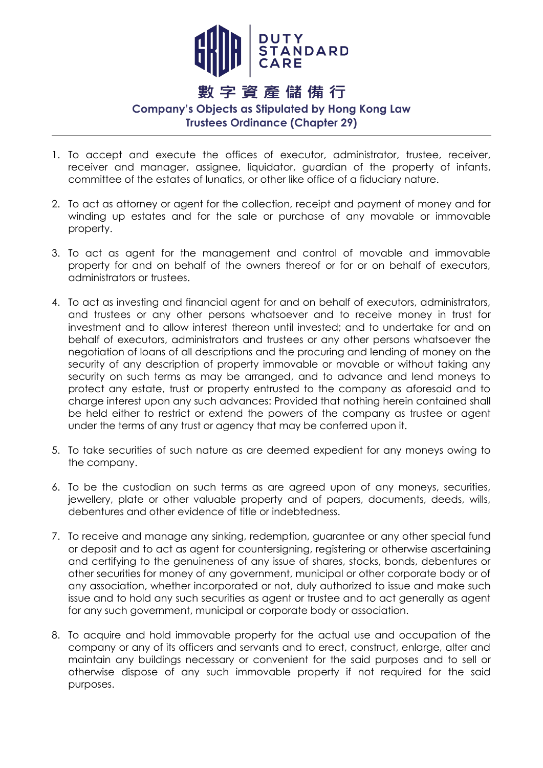

## 數字資產儲備行

## **Company's Objects as Stipulated by Hong Kong Law Trustees Ordinance (Chapter 29)**

- 1. To accept and execute the offices of executor, administrator, trustee, receiver, receiver and manager, assignee, liquidator, guardian of the property of infants, committee of the estates of lunatics, or other like office of a fiduciary nature.
- 2. To act as attorney or agent for the collection, receipt and payment of money and for winding up estates and for the sale or purchase of any movable or immovable property.
- 3. To act as agent for the management and control of movable and immovable property for and on behalf of the owners thereof or for or on behalf of executors, administrators or trustees.
- 4. To act as investing and financial agent for and on behalf of executors, administrators, and trustees or any other persons whatsoever and to receive money in trust for investment and to allow interest thereon until invested; and to undertake for and on behalf of executors, administrators and trustees or any other persons whatsoever the negotiation of loans of all descriptions and the procuring and lending of money on the security of any description of property immovable or movable or without taking any security on such terms as may be arranged, and to advance and lend moneys to protect any estate, trust or property entrusted to the company as aforesaid and to charge interest upon any such advances: Provided that nothing herein contained shall be held either to restrict or extend the powers of the company as trustee or agent under the terms of any trust or agency that may be conferred upon it.
- 5. To take securities of such nature as are deemed expedient for any moneys owing to the company.
- 6. To be the custodian on such terms as are agreed upon of any moneys, securities, jewellery, plate or other valuable property and of papers, documents, deeds, wills, debentures and other evidence of title or indebtedness.
- 7. To receive and manage any sinking, redemption, guarantee or any other special fund or deposit and to act as agent for countersigning, registering or otherwise ascertaining and certifying to the genuineness of any issue of shares, stocks, bonds, debentures or other securities for money of any government, municipal or other corporate body or of any association, whether incorporated or not, duly authorized to issue and make such issue and to hold any such securities as agent or trustee and to act generally as agent for any such government, municipal or corporate body or association.
- 8. To acquire and hold immovable property for the actual use and occupation of the company or any of its officers and servants and to erect, construct, enlarge, alter and maintain any buildings necessary or convenient for the said purposes and to sell or otherwise dispose of any such immovable property if not required for the said purposes.